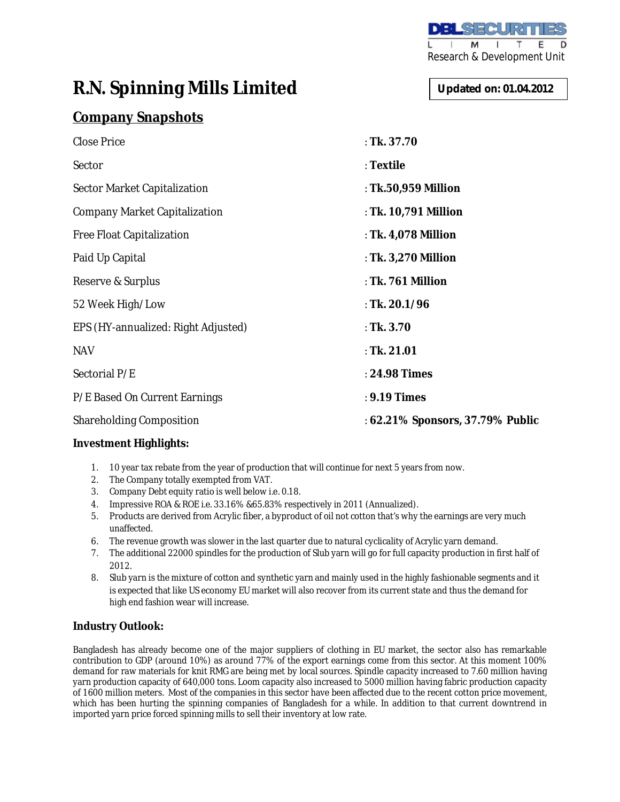

# **R.N. Spinning Mills Limited**

## **Company Snapshots**

| Close Price                         | : Tk. 37.70                      |
|-------------------------------------|----------------------------------|
| Sector                              | : Textile                        |
| Sector Market Capitalization        | : Tk.50,959 Million              |
| Company Market Capitalization       | : Tk. 10,791 Million             |
| Free Float Capitalization           | : Tk. 4,078 Million              |
| Paid Up Capital                     | : Tk. 3,270 Million              |
| Reserve & Surplus                   | : Tk. 761 Million                |
| 52 Week High/Low                    | : Tk. 20.1/96                    |
| EPS (HY-annualized: Right Adjusted) | : Tk. $3.70$                     |
| <b>NAV</b>                          | : Tk. 21.01                      |
| Sectorial P/E                       | : 24.98 Times                    |
| P/E Based On Current Earnings       | : 9.19 Times                     |
| Shareholding Composition            | : 62.21% Sponsors, 37.79% Public |

#### **Investment Highlights:**

- 1. 10 year tax rebate from the year of production that will continue for next 5 years from now.
- 2. The Company totally exempted from VAT.
- 3. Company Debt equity ratio is well below i.e. 0.18.
- 4. Impressive ROA & ROE i.e. 33.16% &65.83% respectively in 2011 (Annualized).
- 5. Products are derived from Acrylic fiber, a byproduct of oil not cotton that's why the earnings are very much unaffected.
- 6. The revenue growth was slower in the last quarter due to natural cyclicality of Acrylic yarn demand.
- 7. The additional 22000 spindles for the production of Slub yarn will go for full capacity production in first half of 2012.
- 8. Slub yarn is the mixture of cotton and synthetic yarn and mainly used in the highly fashionable segments and it is expected that like US economy EU market will also recover from its current state and thus the demand for high end fashion wear will increase.

### **Industry Outlook:**

Bangladesh has already become one of the major suppliers of clothing in EU market, the sector also has remarkable contribution to GDP (around 10%) as around 77% of the export earnings come from this sector. At this moment 100% demand for raw materials for knit RMG are being met by local sources. Spindle capacity increased to 7.60 million having yarn production capacity of 640,000 tons. Loom capacity also increased to 5000 million having fabric production capacity of 1600 million meters. Most of the companies in this sector have been affected due to the recent cotton price movement, which has been hurting the spinning companies of Bangladesh for a while. In addition to that current downtrend in imported yarn price forced spinning mills to sell their inventory at low rate.

**Updated on: 01.04.2012**